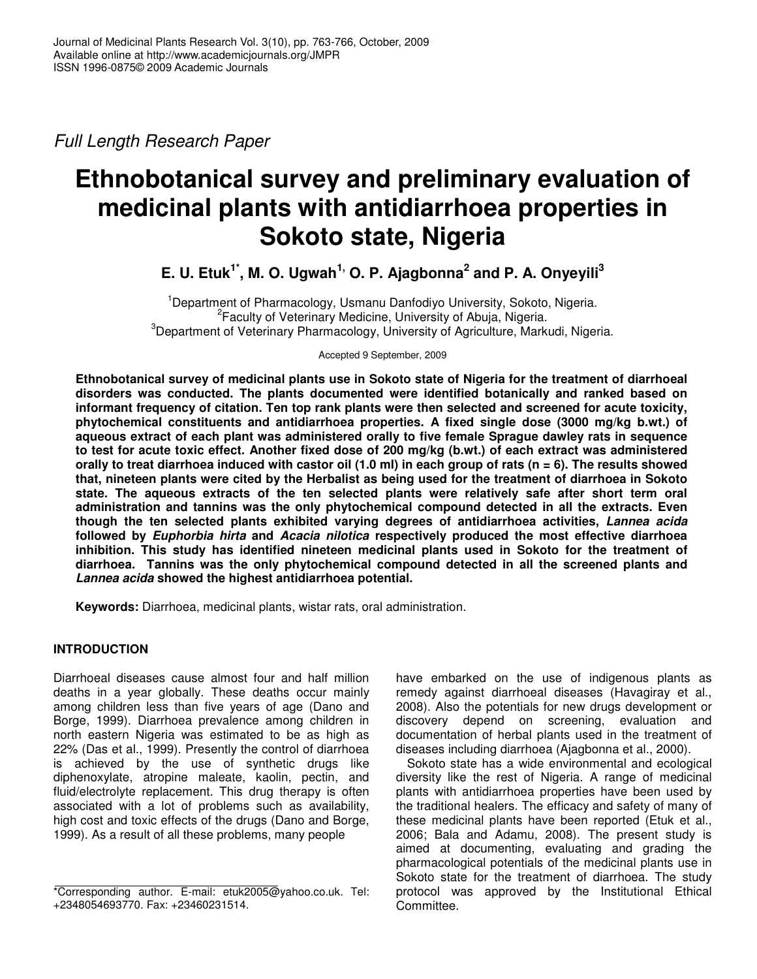*Full Length Research Paper*

# **Ethnobotanical survey and preliminary evaluation of medicinal plants with antidiarrhoea properties in Sokoto state, Nigeria**

**E. U. Etuk 1\* , M. O. Ugwah 1, O. P. Ajagbonna 2 and P. A. Onyeyili 3**

<sup>1</sup>Department of Pharmacology, Usmanu Danfodiyo University, Sokoto, Nigeria. <sup>2</sup> Faculty of Veterinary Medicine, University of Abuja, Nigeria.  $3$ Department of Veterinary Pharmacology, University of Agriculture, Markudi, Nigeria.

Accepted 9 September, 2009

**Ethnobotanical survey of medicinal plants use in Sokoto state of Nigeria for the treatment of diarrhoeal disorders was conducted. The plants documented were identified botanically and ranked based on informant frequency of citation. Ten top rank plants were then selected and screened for acute toxicity, phytochemical constituents and antidiarrhoea properties. A fixed single dose (3000 mg/kg b.wt.) of aqueous extract of each plant was administered orally to five female Sprague dawley rats in sequence** to test for acute toxic effect. Another fixed dose of 200 mg/kg (b.wt.) of each extract was administered orally to treat diarrhoea induced with castor oil (1.0 ml) in each group of rats ( $n = 6$ ). The results showed that, nineteen plants were cited by the Herbalist as being used for the treatment of diarrhoea in Sokoto **state. The aqueous extracts of the ten selected plants were relatively safe after short term oral administration and tannins was the only phytochemical compound detected in all the extracts. Even though the ten selected plants exhibited varying degrees of antidiarrhoea activities,** *Lannea acida* **followed by** *Euphorbia hirta* **and** *Acacia nilotica* **respectively produced the most effective diarrhoea inhibition. This study has identified nineteen medicinal plants used in Sokoto for the treatment of diarrhoea. Tannins was the only phytochemical compound detected in all the screened plants and** *Lannea acida* **showed the highest antidiarrhoea potential.**

**Keywords:** Diarrhoea, medicinal plants, wistar rats, oral administration.

# **INTRODUCTION**

Diarrhoeal diseases cause almost four and half million deaths in a year globally. These deaths occur mainly among children less than five years of age (Dano and Borge, 1999). Diarrhoea prevalence among children in north eastern Nigeria was estimated to be as high as 22% (Das et al., 1999). Presently the control of diarrhoea is achieved by the use of synthetic drugs like diphenoxylate, atropine maleate, kaolin, pectin, and fluid/electrolyte replacement. This drug therapy is often associated with a lot of problems such as availability, high cost and toxic effects of the drugs (Dano and Borge, 1999). As a result of all these problems, many people

have embarked on the use of indigenous plants as remedy against diarrhoeal diseases (Havagiray et al., 2008). Also the potentials for new drugs development or discovery depend on screening, evaluation and documentation of herbal plants used in the treatment of diseases including diarrhoea (Ajagbonna et al., 2000).

Sokoto state has a wide environmental and ecological diversity like the rest of Nigeria. A range of medicinal plants with antidiarrhoea properties have been used by the traditional healers. The efficacy and safety of many of these medicinal plants have been reported (Etuk et al., 2006; Bala and Adamu, 2008). The present study is aimed at documenting, evaluating and grading the pharmacological potentials of the medicinal plants use in Sokoto state for the treatment of diarrhoea. The study protocol was approved by the Institutional Ethical Committee.

<sup>\*</sup>Corresponding author. E-mail: etuk2005@yahoo.co.uk. Tel: +2348054693770. Fax: +23460231514.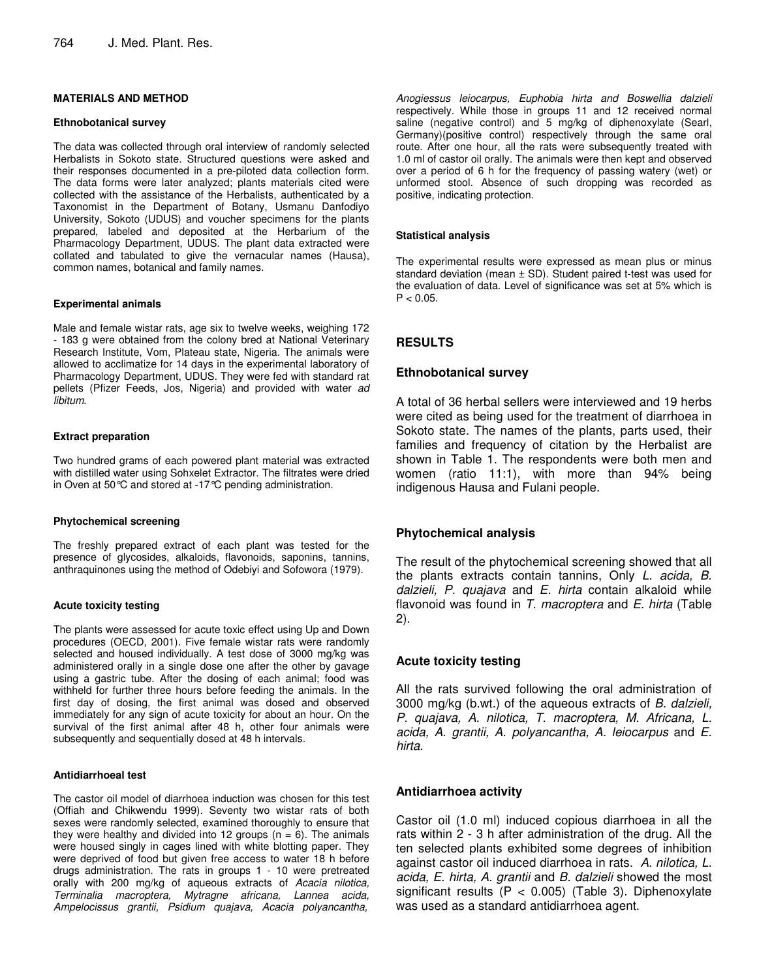## **MATERIALS AND METHOD**

#### **Ethnobotanical survey**

The data was collected through oral interview of randomly selected Herbalists in Sokoto state. Structured questions were asked and their responses documented in a pre-piloted data collection form. The data forms were later analyzed; plants materials cited were collected with the assistance of the Herbalists, authenticated by a Taxonomist in the Department of Botany, Usmanu Danfodiyo University, Sokoto (UDUS) and voucher specimens for the plants prepared, labeled and deposited at the Herbarium of the Pharmacology Department, UDUS. The plant data extracted were collated and tabulated to give the vernacular names (Hausa), common names, botanical and family names.

#### **Experimental animals**

Male and female wistar rats, age six to twelve weeks, weighing 172 - 183 g were obtained from the colony bred at National Veterinary Research Institute, Vom, Plateau state, Nigeria. The animals were allowed to acclimatize for 14 days in the experimental laboratory of Pharmacology Department, UDUS. They were fed with standard rat pellets (Pfizer Feeds, Jos, Nigeria) and provided with water *ad libitum*.

## **Extract preparation**

Two hundred grams of each powered plant material was extracted with distilled water using Sohxelet Extractor. The filtrates were dried in Oven at 50°C and stored at -17°C pending administration.

#### **Phytochemical screening**

The freshly prepared extract of each plant was tested for the presence of glycosides, alkaloids, flavonoids, saponins, tannins, anthraquinones using the method of Odebiyi and Sofowora (1979).

#### **Acute toxicity testing**

The plants were assessed for acute toxic effect using Up and Down procedures (OECD, 2001). Five female wistar rats were randomly selected and housed individually. A test dose of 3000 mg/kg was administered orally in a single dose one after the other by gavage using a gastric tube. After the dosing of each animal; food was withheld for further three hours before feeding the animals. In the first day of dosing, the first animal was dosed and observed immediately for any sign of acute toxicity for about an hour. On the survival of the first animal after 48 h, other four animals were subsequently and sequentially dosed at 48 h intervals.

## **Antidiarrhoeal test**

The castor oil model of diarrhoea induction was chosen for this test (Offiah and Chikwendu 1999). Seventy two wistar rats of both sexes were randomly selected, examined thoroughly to ensure that they were healthy and divided into 12 groups ( $n = 6$ ). The animals were housed singly in cages lined with white blotting paper. They were deprived of food but given free access to water 18 h before drugs administration. The rats in groups 1 - 10 were pretreated orally with 200 mg/kg of aqueous extracts of *Acacia nilotica, Terminalia macroptera, Mytragne africana, Lannea acida, Ampelocissus grantii, Psidium quajava, Acacia polyancantha,*

*Anogiessus leiocarpus, Euphobia hirta and Boswellia dalzieli* respectively. While those in groups 11 and 12 received normal saline (negative control) and 5 mg/kg of diphenoxylate (Searl, Germany)(positive control) respectively through the same oral route. After one hour, all the rats were subsequently treated with 1.0 ml of castor oil orally. The animals were then kept and observed over a period of 6 h for the frequency of passing watery (wet) or unformed stool. Absence of such dropping was recorded as positive, indicating protection.

#### **Statistical analysis**

The experimental results were expressed as mean plus or minus standard deviation (mean  $\pm$  SD). Student paired t-test was used for the evaluation of data. Level of significance was set at 5% which is  $P < 0.05$ .

# **RESULTS**

## **Ethnobotanical survey**

A total of 36 herbal sellers were interviewed and 19 herbs were cited as being used for the treatment of diarrhoea in Sokoto state. The names of the plants, parts used, their families and frequency of citation by the Herbalist are shown in Table 1. The respondents were both men and women (ratio 11:1), with more than 94% being indigenous Hausa and Fulani people.

# **Phytochemical analysis**

The result of the phytochemical screening showed that all the plants extracts contain tannins, Only *L. acida, B. dalzieli, P. quajava* and *E. hirta* contain alkaloid while flavonoid was found in *T. macroptera* and *E. hirta* (Table 2).

# **Acute toxicity testing**

All the rats survived following the oral administration of 3000 mg/kg (b.wt.) of the aqueous extracts of *B. dalzieli, P. quajava, A. nilotica, T. macroptera, M. Africana, L. acida, A. grantii, A. polyancantha, A. leiocarpus* and *E. hirta*.

# **Antidiarrhoea activity**

Castor oil (1.0 ml) induced copious diarrhoea in all the rats within 2 - 3 h after administration of the drug. All the ten selected plants exhibited some degrees of inhibition against castor oil induced diarrhoea in rats. *A. nilotica, L. acida, E. hirta, A. grantii* and *B. dalzieli* showed the most significant results ( $P < 0.005$ ) (Table 3). Diphenoxylate was used as a standard antidiarrhoea agent.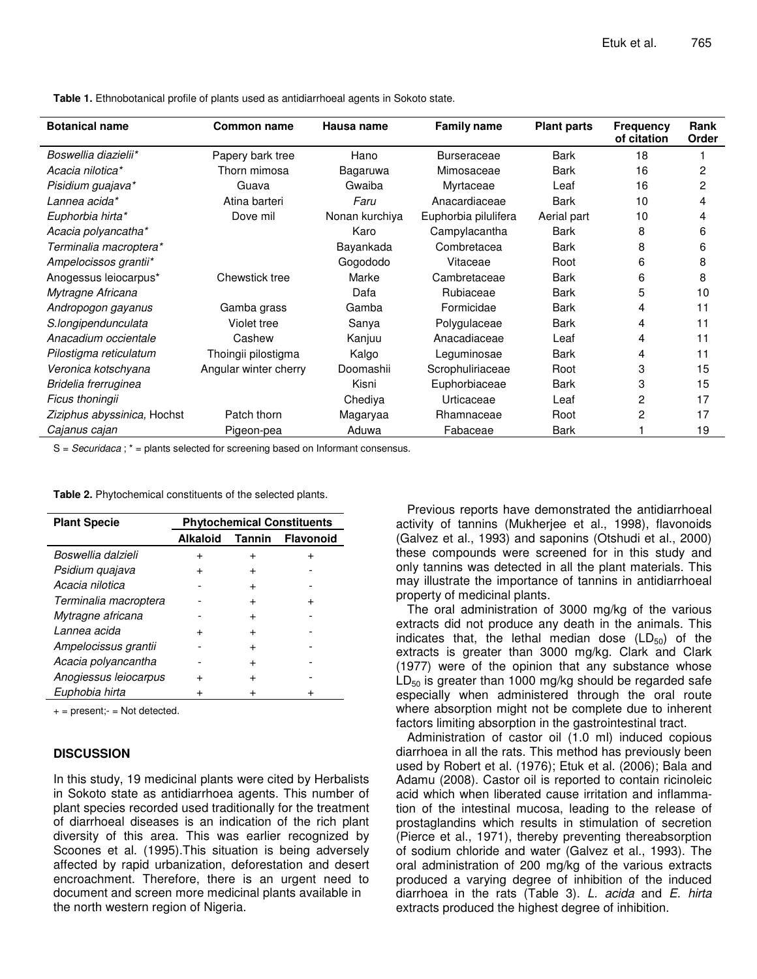| <b>Botanical name</b>       | <b>Common name</b>    | Hausa name     | <b>Family name</b>   | <b>Plant parts</b> | <b>Frequency</b><br>of citation | Rank<br>Order |
|-----------------------------|-----------------------|----------------|----------------------|--------------------|---------------------------------|---------------|
| Boswellia diazielii*        | Papery bark tree      | Hano           | <b>Burseraceae</b>   | Bark               | 18                              |               |
| Acacia nilotica*            | Thorn mimosa          | Bagaruwa       | Mimosaceae           | Bark               | 16                              | 2             |
| Pisidium guajava*           | Guava                 | Gwaiba         | Myrtaceae            | Leaf               | 16                              | 2             |
| Lannea acida*               | Atina barteri         | Faru           | Anacardiaceae        | <b>Bark</b>        | 10                              | 4             |
| Euphorbia hirta*            | Dove mil              | Nonan kurchiya | Euphorbia pilulifera | Aerial part        | 10                              | 4             |
| Acacia polyancatha*         |                       | Karo           | Campylacantha        | Bark               | 8                               | 6             |
| Terminalia macroptera*      |                       | Bayankada      | Combretacea          | <b>Bark</b>        | 8                               | 6             |
| Ampelocissos grantii*       |                       | Gogododo       | Vitaceae             | Root               | 6                               | 8             |
| Anogessus leiocarpus*       | Chewstick tree        | Marke          | Cambretaceae         | <b>Bark</b>        | 6                               | 8             |
| Mytragne Africana           |                       | Dafa           | Rubiaceae            | Bark               | 5                               | 10            |
| Andropogon gayanus          | Gamba grass           | Gamba          | Formicidae           | Bark               | 4                               | 11            |
| S.longipendunculata         | Violet tree           | Sanya          | Polygulaceae         | Bark               | 4                               | 11            |
| Anacadium occientale        | Cashew                | Kanjuu         | Anacadiaceae         | Leaf               | 4                               | 11            |
| Pilostigma reticulatum      | Thoingii pilostigma   | Kalgo          | Leguminosae          | Bark               | 4                               | 11            |
| Veronica kotschyana         | Angular winter cherry | Doomashii      | Scrophuliriaceae     | Root               | 3                               | 15            |
| Bridelia frerruginea        |                       | Kisni          | Euphorbiaceae        | Bark               | 3                               | 15            |
| Ficus thoningii             |                       | Chediya        | Urticaceae           | Leaf               | 2                               | 17            |
| Ziziphus abyssinica, Hochst | Patch thorn           | Magaryaa       | Rhamnaceae           | Root               | 2                               | 17            |
| Cajanus cajan               | Pigeon-pea            | Aduwa          | Fabaceae             | Bark               |                                 | 19            |

**Table 1.** Ethnobotanical profile of plants used as antidiarrhoeal agents in Sokoto state.

S = *Securidaca* ; \* = plants selected for screening based on Informant consensus.

**Table 2.** Phytochemical constituents of the selected plants.

| <b>Plant Specie</b>   | <b>Phytochemical Constituents</b> |           |                  |  |
|-----------------------|-----------------------------------|-----------|------------------|--|
|                       | Alkaloid                          | Tannin    | <b>Flavonoid</b> |  |
| Boswellia dalzieli    | +                                 | +         |                  |  |
| Psidium quajava       |                                   |           |                  |  |
| Acacia nilotica       |                                   | +         |                  |  |
| Terminalia macroptera |                                   | +         |                  |  |
| Mytragne africana     |                                   | +         |                  |  |
| Lannea acida          |                                   | $\ddot{}$ |                  |  |
| Ampelocissus grantii  |                                   | $\ddot{}$ |                  |  |
| Acacia polyancantha   |                                   | $\ddot{}$ |                  |  |
| Anogiessus leiocarpus |                                   | $\ddot{}$ |                  |  |
| Euphobia hirta        |                                   |           |                  |  |

 $+=$  present; $=$  Not detected.

## **DISCUSSION**

In this study, 19 medicinal plants were cited by Herbalists in Sokoto state as antidiarrhoea agents. This number of plant species recorded used traditionally for the treatment of diarrhoeal diseases is an indication of the rich plant diversity of this area. This was earlier recognized by Scoones et al. (1995).This situation is being adversely affected by rapid urbanization, deforestation and desert encroachment. Therefore, there is an urgent need to document and screen more medicinal plants available in the north western region of Nigeria.

Previous reports have demonstrated the antidiarrhoeal activity of tannins (Mukherjee et al., 1998), flavonoids (Galvez et al., 1993) and saponins (Otshudi et al., 2000) these compounds were screened for in this study and only tannins was detected in all the plant materials. This may illustrate the importance of tannins in antidiarrhoeal property of medicinal plants.

The oral administration of 3000 mg/kg of the various extracts did not produce any death in the animals. This indicates that, the lethal median dose  $(LD_{50})$  of the extracts is greater than 3000 mg/kg. Clark and Clark (1977) were of the opinion that any substance whose  $LD_{50}$  is greater than 1000 mg/kg should be regarded safe especially when administered through the oral route where absorption might not be complete due to inherent factors limiting absorption in the gastrointestinal tract.

Administration of castor oil (1.0 ml) induced copious diarrhoea in all the rats. This method has previously been used by Robert et al. (1976); Etuk et al. (2006); Bala and Adamu (2008). Castor oil is reported to contain ricinoleic acid which when liberated cause irritation and inflammation of the intestinal mucosa, leading to the release of prostaglandins which results in stimulation of secretion (Pierce et al., 1971), thereby preventing thereabsorption of sodium chloride and water (Galvez et al., 1993). The oral administration of 200 mg/kg of the various extracts produced a varying degree of inhibition of the induced diarrhoea in the rats (Table 3). *L. acida* and *E. hirta* extracts produced the highest degree of inhibition.